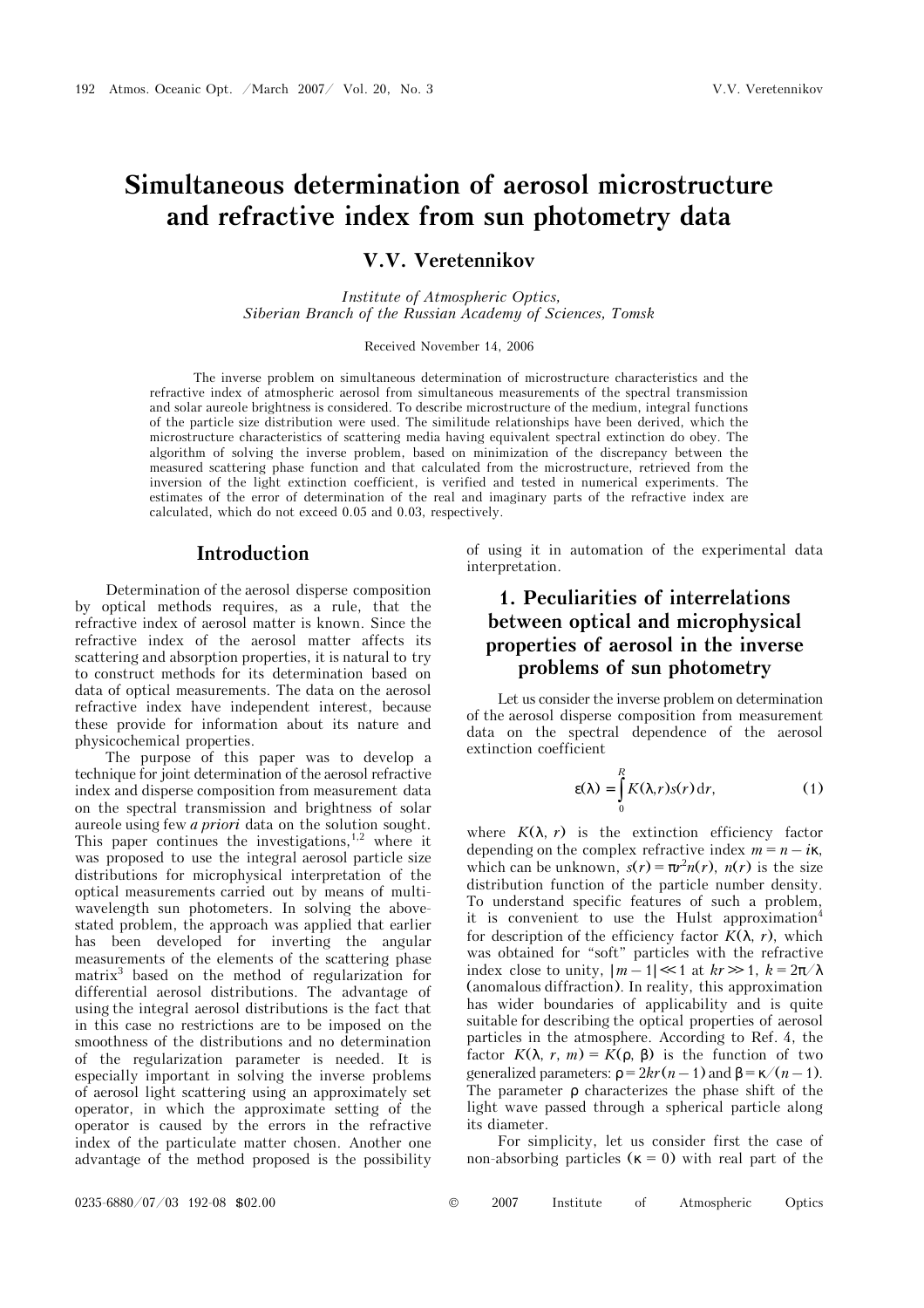# **Simultaneous determination of aerosol microstructure and refractive index from sun photometry data**

**V.V. Veretennikov** 

 *Institute of Atmospheric Optics, Siberian Branch of the Russian Academy of Sciences, Tomsk* 

Received November 14, 2006

The inverse problem on simultaneous determination of microstructure characteristics and the refractive index of atmospheric aerosol from simultaneous measurements of the spectral transmission and solar aureole brightness is considered. To describe microstructure of the medium, integral functions of the particle size distribution were used. The similitude relationships have been derived, which the microstructure characteristics of scattering media having equivalent spectral extinction do obey. The algorithm of solving the inverse problem, based on minimization of the discrepancy between the measured scattering phase function and that calculated from the microstructure, retrieved from the inversion of the light extinction coefficient, is verified and tested in numerical experiments. The estimates of the error of determination of the real and imaginary parts of the refractive index are calculated, which do not exceed 0.05 and 0.03, respectively.

#### **Introduction**

Determination of the aerosol disperse composition by optical methods requires, as a rule, that the refractive index of aerosol matter is known. Since the refractive index of the aerosol matter affects its scattering and absorption properties, it is natural to try to construct methods for its determination based on data of optical measurements. The data on the aerosol refractive index have independent interest, because these provide for information about its nature and physicochemical properties.

The purpose of this paper was to develop a technique for joint determination of the aerosol refractive index and disperse composition from measurement data on the spectral transmission and brightness of solar aureole using few *a priori* data on the solution sought. This paper continues the investigations,  $1,2$  where it was proposed to use the integral aerosol particle size distributions for microphysical interpretation of the optical measurements carried out by means of multiwavelength sun photometers. In solving the abovestated problem, the approach was applied that earlier has been developed for inverting the angular measurements of the elements of the scattering phase matrix3 based on the method of regularization for differential aerosol distributions. The advantage of using the integral aerosol distributions is the fact that in this case no restrictions are to be imposed on the smoothness of the distributions and no determination of the regularization parameter is needed. It is especially important in solving the inverse problems of aerosol light scattering using an approximately set operator, in which the approximate setting of the operator is caused by the errors in the refractive index of the particulate matter chosen. Another one advantage of the method proposed is the possibility

of using it in automation of the experimental data interpretation.

# **1. Peculiarities of interrelations between optical and microphysical properties of aerosol in the inverse problems of sun photometry**

Let us consider the inverse problem on determination of the aerosol disperse composition from measurement data on the spectral dependence of the aerosol extinction coefficient

$$
\varepsilon(\lambda) = \int_{0}^{R} K(\lambda, r) s(r) dr,
$$
 (1)

where  $K(\lambda, r)$  is the extinction efficiency factor depending on the complex refractive index  $m = n - i\kappa$ , which can be unknown,  $s(r) = \pi r^2 n(r)$ ,  $n(r)$  is the size distribution function of the particle number density. To understand specific features of such a problem, it is convenient to use the Hulst approximation<sup>4</sup> for description of the efficiency factor  $K(\lambda, r)$ , which was obtained for "soft" particles with the refractive index close to unity,  $|m-1| \ll 1$  at  $kr \gg 1$ ,  $k = 2\pi/\lambda$ (anomalous diffraction). In reality, this approximation has wider boundaries of applicability and is quite suitable for describing the optical properties of aerosol particles in the atmosphere. According to Ref. 4, the factor  $K(\lambda, r, m) = K(\rho, \beta)$  is the function of two generalized parameters:  $\rho = 2kr(n-1)$  and  $\beta = \kappa/(n-1)$ . The parameter ρ characterizes the phase shift of the light wave passed through a spherical particle along its diameter.

For simplicity, let us consider first the case of non-absorbing particles ( $\kappa = 0$ ) with real part of the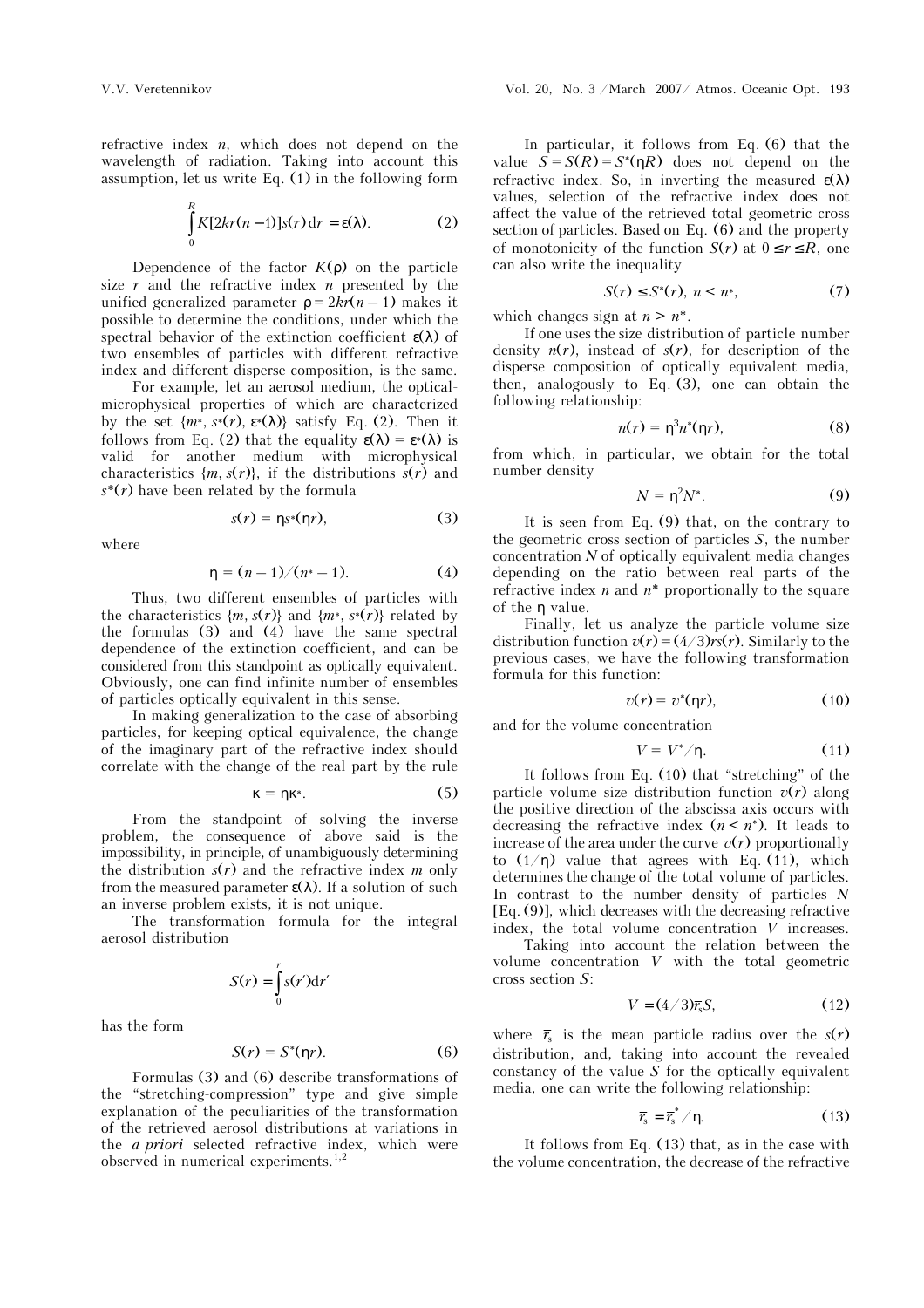refractive index *n*, which does not depend on the wavelength of radiation. Taking into account this assumption, let us write Eq. (1) in the following form

$$
\int_{0}^{R} K[2kr(n-1)]s(r) dr = \varepsilon(\lambda).
$$
 (2)

Dependence of the factor  $K(\rho)$  on the particle size *r* and the refractive index *n* presented by the unified generalized parameter  $p = 2kr(n - 1)$  makes it possible to determine the conditions, under which the spectral behavior of the extinction coefficient  $\varepsilon(\lambda)$  of two ensembles of particles with different refractive index and different disperse composition, is the same.

 For example, let an aerosol medium, the opticalmicrophysical properties of which are characterized by the set  $\{m^*, s^*(r), \varepsilon^*(\lambda)\}\$  satisfy Eq. (2). Then it follows from Eq. (2) that the equality  $\epsilon(\lambda) = \epsilon^*(\lambda)$  is valid for another medium with microphysical characteristics  $\{m, s(r)\}\$ , if the distributions  $s(r)$  and *s*\*(*r*) have been related by the formula

$$
s(r) = \eta s^*(\eta r), \tag{3}
$$

where

$$
\eta = (n-1)/(n^* - 1). \tag{4}
$$

Thus, two different ensembles of particles with the characteristics  $\{m, s(r)\}\$  and  $\{m^*, s^*(r)\}\$  related by the formulas (3) and (4) have the same spectral dependence of the extinction coefficient, and can be considered from this standpoint as optically equivalent. Obviously, one can find infinite number of ensembles of particles optically equivalent in this sense.

In making generalization to the case of absorbing particles, for keeping optical equivalence, the change of the imaginary part of the refractive index should correlate with the change of the real part by the rule

$$
\kappa = \eta \kappa^*.\tag{5}
$$

From the standpoint of solving the inverse problem, the consequence of above said is the impossibility, in principle, of unambiguously determining the distribution *s*(*r*) and the refractive index *m* only from the measured parameter  $\varepsilon(\lambda)$ . If a solution of such an inverse problem exists, it is not unique.

The transformation formula for the integral aerosol distribution

$$
S(r) = \int_{0}^{r} s(r') \mathrm{d}r'
$$

has the form

$$
S(r) = S^*(\eta r). \tag{6}
$$

Formulas (3) and (6) describe transformations of the "stretching-compression" type and give simple explanation of the peculiarities of the transformation of the retrieved aerosol distributions at variations in the *a priori* selected refractive index, which were observed in numerical experiments.<sup>1,2</sup>

In particular, it follows from Eq. (6) that the value  $S = S(R) = S^*(nR)$  does not depend on the refractive index. So, in inverting the measured  $\varepsilon(\lambda)$ values, selection of the refractive index does not affect the value of the retrieved total geometric cross section of particles. Based on Eq. (6) and the property of monotonicity of the function  $S(r)$  at  $0 \le r \le R$ , one can also write the inequality

$$
S(r) \le S^*(r), \ n < n^*, \tag{7}
$$

which changes sign at  $n > n^*$ .

If one uses the size distribution of particle number density  $n(r)$ , instead of  $s(r)$ , for description of the disperse composition of optically equivalent media, then, analogously to Eq. (3), one can obtain the following relationship:

$$
n(r) = \eta^3 n^*(\eta r), \tag{8}
$$

from which, in particular, we obtain for the total number density

$$
N = \eta^2 N^*.\tag{9}
$$

It is seen from Eq. (9) that, on the contrary to the geometric cross section of particles *S*, the number concentration *N* of optically equivalent media changes depending on the ratio between real parts of the refractive index *n* and *n*\* proportionally to the square of the η value.

Finally, let us analyze the particle volume size distribution function  $v(r) = (4/3)rs(r)$ . Similarly to the previous cases, we have the following transformation formula for this function:

$$
v(r) = v^*(\eta r), \tag{10}
$$

and for the volume concentration

$$
V = V^*/\eta. \tag{11}
$$

It follows from Eq. (10) that "stretching" of the particle volume size distribution function  $v(r)$  along the positive direction of the abscissa axis occurs with decreasing the refractive index  $(n \leq n^*)$ . It leads to increase of the area under the curve  $v(r)$  proportionally to  $(1/\eta)$  value that agrees with Eq. (11), which determines the change of the total volume of particles. In contrast to the number density of particles *N* [Eq. (9)], which decreases with the decreasing refractive index, the total volume concentration *V* increases.

 Taking into account the relation between the volume concentration *V* with the total geometric cross section *S*:

$$
V = (4/3)\overline{r}_s S, \qquad (12)
$$

where  $\bar{r}_s$  is the mean particle radius over the  $s(r)$ distribution, and, taking into account the revealed constancy of the value  $\overline{S}$  for the optically equivalent media, one can write the following relationship:

$$
\overline{r}_s = \overline{r}_s^* / \eta. \tag{13}
$$

It follows from Eq. (13) that, as in the case with the volume concentration, the decrease of the refractive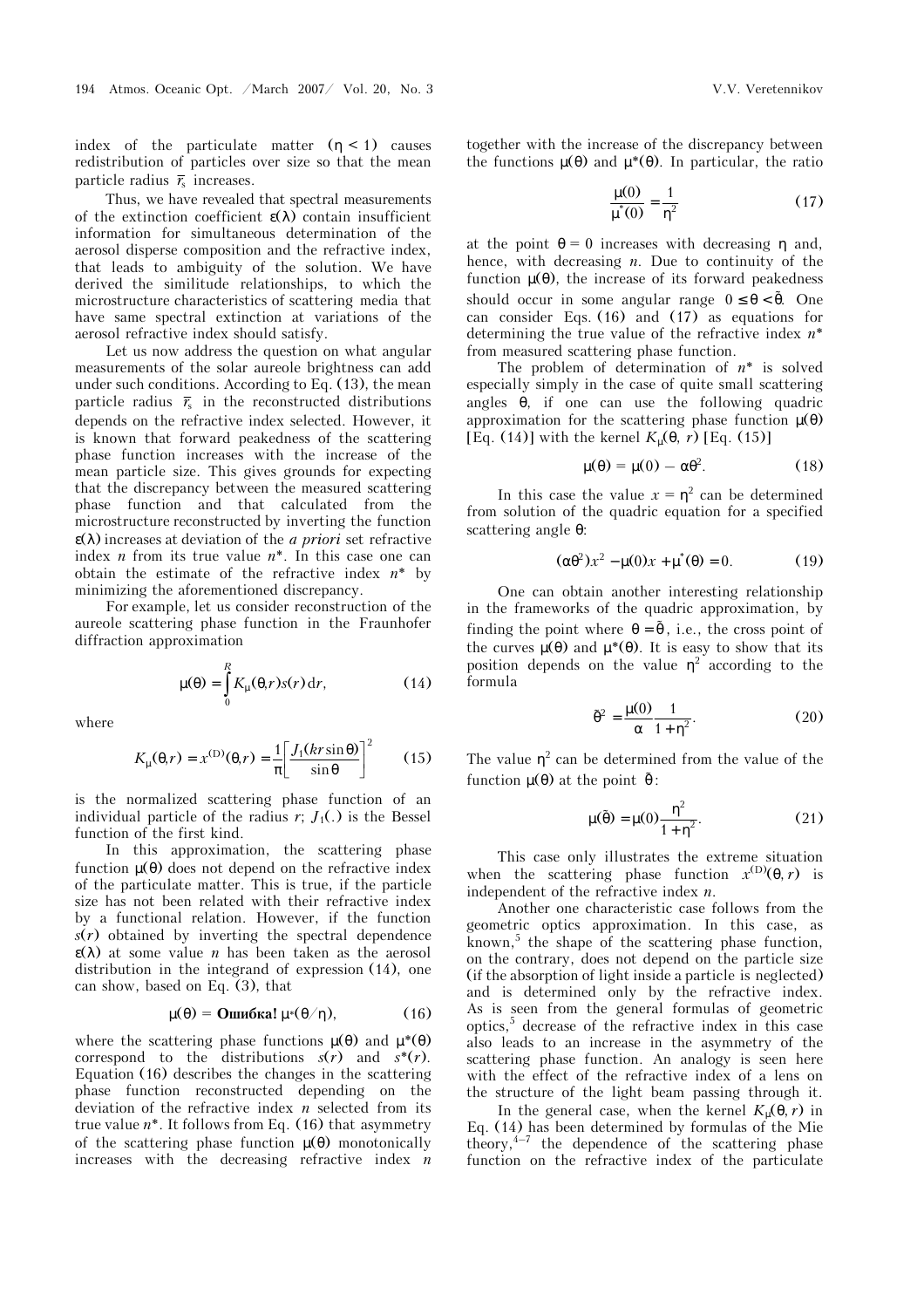index of the particulate matter  $(\eta < 1)$  causes redistribution of particles over size so that the mean particle radius  $\bar{r}_s$  increases.

Thus, we have revealed that spectral measurements of the extinction coefficient  $\varepsilon(\lambda)$  contain insufficient information for simultaneous determination of the aerosol disperse composition and the refractive index, that leads to ambiguity of the solution. We have derived the similitude relationships, to which the microstructure characteristics of scattering media that have same spectral extinction at variations of the aerosol refractive index should satisfy.

Let us now address the question on what angular measurements of the solar aureole brightness can add under such conditions. According to Eq. (13), the mean particle radius  $\bar{r}_s$  in the reconstructed distributions depends on the refractive index selected. However, it is known that forward peakedness of the scattering phase function increases with the increase of the mean particle size. This gives grounds for expecting that the discrepancy between the measured scattering phase function and that calculated from the microstructure reconstructed by inverting the function ε(λ) increases at deviation of the *a priori* set refractive index *n* from its true value *n*\*. In this case one can obtain the estimate of the refractive index *n*\* by minimizing the aforementioned discrepancy.

For example, let us consider reconstruction of the aureole scattering phase function in the Fraunhofer diffraction approximation

$$
\mu(\theta) = \int_{0}^{R} K_{\mu}(\theta, r) s(r) dr,
$$
 (14)

where

$$
K_{\mu}(\theta, r) = x^{(\text{D})}(\theta, r) = \frac{1}{\pi} \left[ \frac{J_1(kr\sin\theta)}{\sin\theta} \right]^2 \tag{15}
$$

is the normalized scattering phase function of an individual particle of the radius  $r$ ;  $J_1(.)$  is the Bessel function of the first kind.

In this approximation, the scattering phase function µ(θ) does not depend on the refractive index of the particulate matter. This is true, if the particle size has not been related with their refractive index by a functional relation. However, if the function *s*(*r*) obtained by inverting the spectral dependence  $\varepsilon(\lambda)$  at some value *n* has been taken as the aerosol distribution in the integrand of expression (14), one can show, based on Eq.  $(3)$ , that

$$
\mu(\theta) = \text{O}\text{mW6}\text{Kal }\mu^*(\theta/\eta),\tag{16}
$$

where the scattering phase functions  $\mu(\theta)$  and  $\mu^*(\theta)$ correspond to the distributions  $s(r)$  and  $s^*(r)$ . Equation (16) describes the changes in the scattering phase function reconstructed depending on the deviation of the refractive index *n* selected from its true value *n*\*. It follows from Eq. (16) that asymmetry of the scattering phase function  $\mu(\theta)$  monotonically increases with the decreasing refractive index *n* together with the increase of the discrepancy between the functions  $\mu(\theta)$  and  $\mu^*(\theta)$ . In particular, the ratio

$$
\frac{\mu(0)}{\mu^*(0)} = \frac{1}{\eta^2}
$$
 (17)

at the point  $\theta = 0$  increases with decreasing  $\eta$  and, hence, with decreasing *n*. Due to continuity of the function µ(θ), the increase of its forward peakedness should occur in some angular range  $0 \le \theta < \tilde{\theta}$ . One can consider Eqs. (16) and (17) as equations for determining the true value of the refractive index *n*\* from measured scattering phase function.

The problem of determination of *n*\* is solved especially simply in the case of quite small scattering angles  $\theta$ , if one can use the following quadric approximation for the scattering phase function  $\mu(\theta)$ [Eq. (14)] with the kernel  $K_u(\theta, r)$  [Eq. (15)]

$$
\mu(\theta) = \mu(0) - \alpha \theta^2. \tag{18}
$$

In this case the value  $x = \eta^2$  can be determined from solution of the quadric equation for a specified scattering angle θ:

$$
(\alpha \theta^2) x^2 - \mu(0) x + \mu^*(\theta) = 0.
$$
 (19)

One can obtain another interesting relationship in the frameworks of the quadric approximation, by finding the point where  $\theta = \tilde{\theta}$ , i.e., the cross point of the curves  $\mu(\theta)$  and  $\mu^*(\theta)$ . It is easy to show that its position depends on the value  $\eta^2$  according to the formula

$$
\tilde{\theta}^2 = \frac{\mu(0)}{\alpha} \frac{1}{1 + \eta^2}.
$$
 (20)

The value  $\eta^2$  can be determined from the value of the function  $\mu$ (θ) at the point  $\tilde{\theta}$ :

$$
\mu(\tilde{\theta}) = \mu(0) \frac{\eta^2}{1 + \eta^2}.
$$
 (21)

This case only illustrates the extreme situation when the scattering phase function  $x^{(D)}(\theta, r)$  is independent of the refractive index *n*.

Another one characteristic case follows from the geometric optics approximation. In this case, as known,<sup>5</sup> the shape of the scattering phase function, on the contrary, does not depend on the particle size (if the absorption of light inside a particle is neglected) and is determined only by the refractive index. As is seen from the general formulas of geometric optics,<sup>5</sup> decrease of the refractive index in this case also leads to an increase in the asymmetry of the scattering phase function. An analogy is seen here with the effect of the refractive index of a lens on the structure of the light beam passing through it.

In the general case, when the kernel  $K_u(\theta, r)$  in Eq. (14) has been determined by formulas of the Mie theory, $4-7$  the dependence of the scattering phase function on the refractive index of the particulate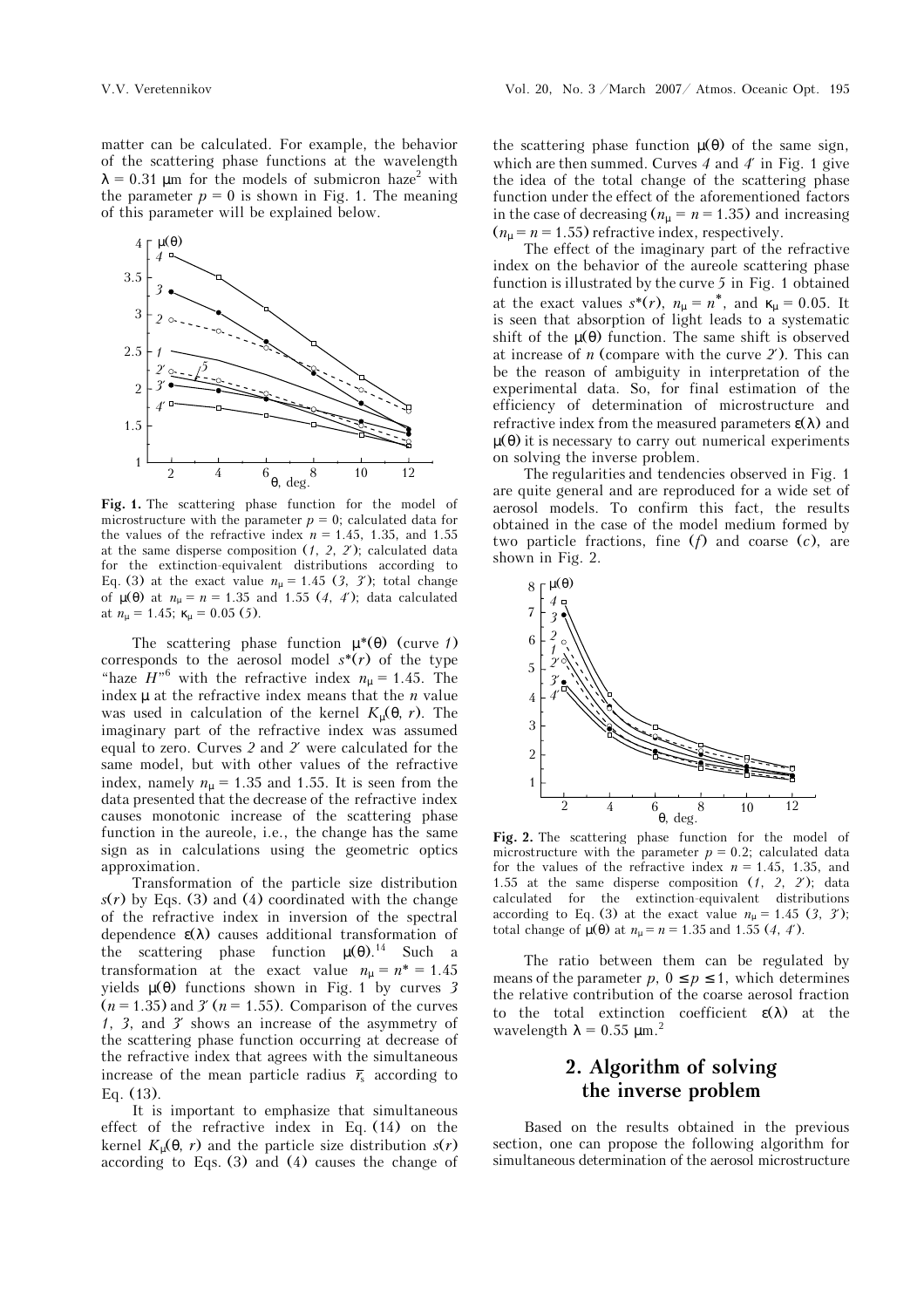

Fig. 1. The scattering phase function for the model of microstructure with the parameter  $p = 0$ ; calculated data for the values of the refractive index  $n = 1.45$ , 1.35, and 1.55 at the same disperse composition (*1*, *2*, *2*′); calculated data for the extinction-equivalent distributions according to Eq. (3) at the exact value  $n_{\mu} = 1.45$  (3, 3<sup>°</sup>); total change of µ(θ) at *n*µ = *n* = 1.35 and 1.55 (*4*, *4*′); data calculated at  $n_{\mu} = 1.45$ ;  $\kappa_{\mu} = 0.05$  (5).

The scattering phase function µ\*(θ) (curve *1*) corresponds to the aerosol model  $s^*(r)$  of the type "haze  $H^{\prime\prime}$ <sup>6</sup> with the refractive index  $n_{\mu} = 1.45$ . The index  $\mu$  at the refractive index means that the  $n$  value was used in calculation of the kernel  $K_u(\theta, r)$ . The imaginary part of the refractive index was assumed equal to zero. Curves *2* and *2*′ were calculated for the same model, but with other values of the refractive index, namely  $n_{\mu} = 1.35$  and 1.55. It is seen from the data presented that the decrease of the refractive index causes monotonic increase of the scattering phase function in the aureole, i.e., the change has the same sign as in calculations using the geometric optics approximation.

Transformation of the particle size distribution  $s(r)$  by Eqs. (3) and (4) coordinated with the change of the refractive index in inversion of the spectral dependence  $\varepsilon(\lambda)$  causes additional transformation of the scattering phase function  $\mu(\theta)$ .<sup>14</sup> Such a transformation at the exact value  $n_{\mu} = n^* = 1.45$ yields µ(θ) functions shown in Fig. 1 by curves *3*  $(n = 1.35)$  and  $3'(n = 1.55)$ . Comparison of the curves *1*, *3*, and *3*′ shows an increase of the asymmetry of the scattering phase function occurring at decrease of the refractive index that agrees with the simultaneous increase of the mean particle radius  $\bar{r}_s$  according to Eq. (13).

It is important to emphasize that simultaneous effect of the refractive index in Eq. (14) on the kernel  $K_u(\theta, r)$  and the particle size distribution  $s(r)$ according to Eqs. (3) and (4) causes the change of the scattering phase function  $\mu(\theta)$  of the same sign, which are then summed. Curves *4* and *4*′ in Fig. 1 give the idea of the total change of the scattering phase function under the effect of the aforementioned factors in the case of decreasing ( $n_{\mu} = n = 1.35$ ) and increasing  $(n<sub>µ</sub> = n = 1.55)$  refractive index, respectively.

The effect of the imaginary part of the refractive index on the behavior of the aureole scattering phase function is illustrated by the curve *5* in Fig. 1 obtained at the exact values  $s^*(r)$ ,  $n_\mu = n^*$ , and  $\kappa_\mu = 0.05$ . It is seen that absorption of light leads to a systematic shift of the  $\mu(\theta)$  function. The same shift is observed at increase of *n* (compare with the curve *2*′). This can be the reason of ambiguity in interpretation of the experimental data. So, for final estimation of the efficiency of determination of microstructure and refractive index from the measured parameters  $\varepsilon(\lambda)$  and  $\mu(\theta)$  it is necessary to carry out numerical experiments on solving the inverse problem.

The regularities and tendencies observed in Fig. 1 are quite general and are reproduced for a wide set of aerosol models. To confirm this fact, the results obtained in the case of the model medium formed by two particle fractions, fine (*f*) and coarse (*c*), are shown in Fig. 2.



**Fig. 2.** The scattering phase function for the model of microstructure with the parameter  $p = 0.2$ ; calculated data for the values of the refractive index  $n = 1.45$ , 1.35, and 1.55 at the same disperse composition (*1*, *2*, *2*′); data calculated for the extinction-equivalent distributions according to Eq. (3) at the exact value  $n<sub>u</sub> = 1.45$  (3, 3<sup>*'*</sup>); total change of  $\mu(\theta)$  at  $n_{\mu} = n = 1.35$  and 1.55 (4, 4').

The ratio between them can be regulated by means of the parameter  $p, 0 \leq p \leq 1$ , which determines the relative contribution of the coarse aerosol fraction to the total extinction coefficient  $\varepsilon(\lambda)$  at the wavelength  $\lambda = 0.55$  µm.<sup>2</sup>

## **2. Algorithm of solving the inverse problem**

Based on the results obtained in the previous section, one can propose the following algorithm for simultaneous determination of the aerosol microstructure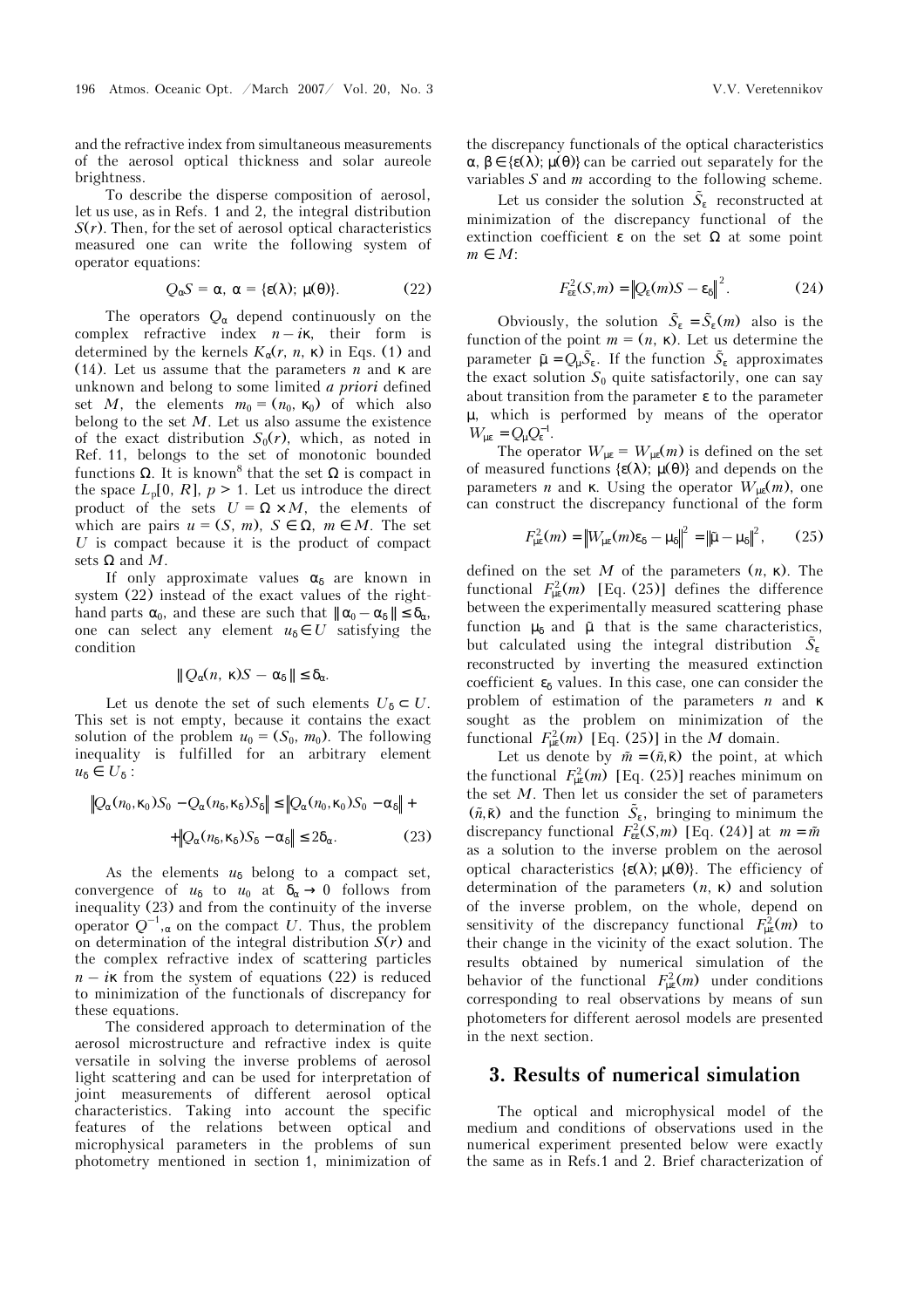and the refractive index from simultaneous measurements of the aerosol optical thickness and solar aureole brightness.

To describe the disperse composition of aerosol, let us use, as in Refs. 1 and 2, the integral distribution  $S(r)$ . Then, for the set of aerosol optical characteristics measured one can write the following system of operator equations:

$$
Q_{\alpha}S = \alpha, \ \alpha = \{\varepsilon(\lambda); \ \mu(\theta)\}.
$$
 (22)

The operators  $Q_{\alpha}$  depend continuously on the complex refractive index  $n - i\kappa$ , their form is determined by the kernels  $K_{\alpha}(r, n, \kappa)$  in Eqs. (1) and (14). Let us assume that the parameters *n* and κ are unknown and belong to some limited *a priori* defined set *M*, the elements  $m_0 = (n_0, \kappa_0)$  of which also belong to the set *M*. Let us also assume the existence of the exact distribution  $S_0(r)$ , which, as noted in Ref. 11, belongs to the set of monotonic bounded functions Ω. It is known<sup>8</sup> that the set Ω is compact in the space  $L_p[0, R]$ ,  $p > 1$ . Let us introduce the direct product of the sets  $U = \Omega \times M$ , the elements of which are pairs  $u = (S, m), S \in \Omega, m \in M$ . The set *U* is compact because it is the product of compact sets  $\Omega$  and *M*.

If only approximate values  $\alpha_{\delta}$  are known in system (22) instead of the exact values of the righthand parts  $\alpha_0$ , and these are such that  $|| \alpha_0 - \alpha_\delta || \leq \delta_\alpha$ , one can select any element  $u_{\delta} \in U$  satisfying the condition

$$
\|Q_{\alpha}(n, \kappa)S - \alpha_{\delta}\| \leq \delta_{\alpha}.
$$

Let us denote the set of such elements  $U_{\delta} \subset U$ . This set is not empty, because it contains the exact solution of the problem  $u_0 = (S_0, m_0)$ . The following inequality is fulfilled for an arbitrary element  $u_{\delta} \in U_{\delta}$ :

$$
\|Q_{\alpha}(n_0, \kappa_0)S_0 - Q_{\alpha}(n_{\delta}, \kappa_{\delta})S_{\delta}\| \le \|Q_{\alpha}(n_0, \kappa_0)S_0 - \alpha_{\delta}\| +
$$
  
+
$$
\|Q_{\alpha}(n_{\delta}, \kappa_{\delta})S_{\delta} - \alpha_{\delta}\| \le 2\delta_{\alpha}.
$$
 (23)

As the elements  $u_{\delta}$  belong to a compact set, convergence of  $u_{\delta}$  to  $u_0$  at  $\delta_{\alpha} \to 0$  follows from inequality (23) and from the continuity of the inverse operator  $Q^{-1}$ ,  $\alpha$  on the compact *U*. Thus, the problem on determination of the integral distribution  $S(r)$  and the complex refractive index of scattering particles  $n - i\kappa$  from the system of equations (22) is reduced to minimization of the functionals of discrepancy for these equations.

The considered approach to determination of the aerosol microstructure and refractive index is quite versatile in solving the inverse problems of aerosol light scattering and can be used for interpretation of joint measurements of different aerosol optical characteristics. Taking into account the specific features of the relations between optical and microphysical parameters in the problems of sun photometry mentioned in section 1, minimization of

the discrepancy functionals of the optical characteristics  $\alpha, \beta \in {\epsilon(\lambda)}; \mu(\theta)$  can be carried out separately for the variables *S* and *m* according to the following scheme.

Let us consider the solution  $\tilde{S}_s$  reconstructed at minimization of the discrepancy functional of the extinction coefficient  $\varepsilon$  on the set  $\Omega$  at some point  $m \in M$ :

$$
F_{\varepsilon\varepsilon}^2(S,m) = \left\|Q_{\varepsilon}(m)S - \varepsilon_{\delta}\right\|^2. \tag{24}
$$

Obviously, the solution  $\tilde{S}_{\varepsilon} = \tilde{S}_{\varepsilon}(m)$  also is the function of the point  $m = (n, \kappa)$ . Let us determine the parameter  $\tilde{\mu} = Q_{\mu} \tilde{S}_{\varepsilon}$ . If the function  $\tilde{S}_{\varepsilon}$  approximates the exact solution  $S_0$  quite satisfactorily, one can say about transition from the parameter  $\varepsilon$  to the parameter  $\mu$ , which is performed by means of the operator  $W_{\mu \varepsilon} = Q_{\mu} Q_{\varepsilon}^{-1}$ .

The operator  $W_{\mu\varepsilon} = W_{\mu\varepsilon}(m)$  is defined on the set of measured functions { $\epsilon(\lambda)$ ;  $\mu(\theta)$ } and depends on the parameters *n* and **κ**. Using the operator  $W_{\mu\nu}(m)$ , one can construct the discrepancy functional of the form

$$
F_{\mu\epsilon}^2(m) = \left\| W_{\mu\epsilon}(m)\varepsilon_{\delta} - \mu_{\delta} \right\|^2 = \left\| \tilde{\mu} - \mu_{\delta} \right\|^2, \qquad (25)
$$

defined on the set *M* of the parameters (*n*, κ). The functional  $F_{\mu}^2(m)$  [Eq. (25)] defines the difference between the experimentally measured scattering phase function  $\mu_{\delta}$  and  $\tilde{\mu}$  that is the same characteristics, but calculated using the integral distribution  $\tilde{S}_s$ reconstructed by inverting the measured extinction coefficient  $\varepsilon_{\delta}$  values. In this case, one can consider the problem of estimation of the parameters *n* and κ sought as the problem on minimization of the functional  $F_{\text{ue}}^2(m)$  [Eq. (25)] in the *M* domain.

Let us denote by  $\tilde{m} = (\tilde{n}, \tilde{\kappa})$  the point, at which the functional  $F_{\mu \varepsilon}^2(m)$  [Eq. (25)] reaches minimum on the set *M*. Then let us consider the set of parameters  $(\tilde{n}, \tilde{\kappa})$  and the function  $\tilde{S}_{\varepsilon}$ , bringing to minimum the discrepancy functional  $F_{\text{ee}}^2(S,m)$  [Eq. (24)] at  $m = \tilde{m}$ as a solution to the inverse problem on the aerosol optical characteristics {ε(λ); µ(θ)}. The efficiency of determination of the parameters (*n*, κ) and solution of the inverse problem, on the whole, depend on sensitivity of the discrepancy functional  $F_{\mu \varepsilon}^2(m)$  to their change in the vicinity of the exact solution. The results obtained by numerical simulation of the behavior of the functional  $F_{\mu \varepsilon}^2(m)$  under conditions corresponding to real observations by means of sun photometers for different aerosol models are presented in the next section.

## **3. Results of numerical simulation**

The optical and microphysical model of the medium and conditions of observations used in the numerical experiment presented below were exactly the same as in Refs.1 and 2. Brief characterization of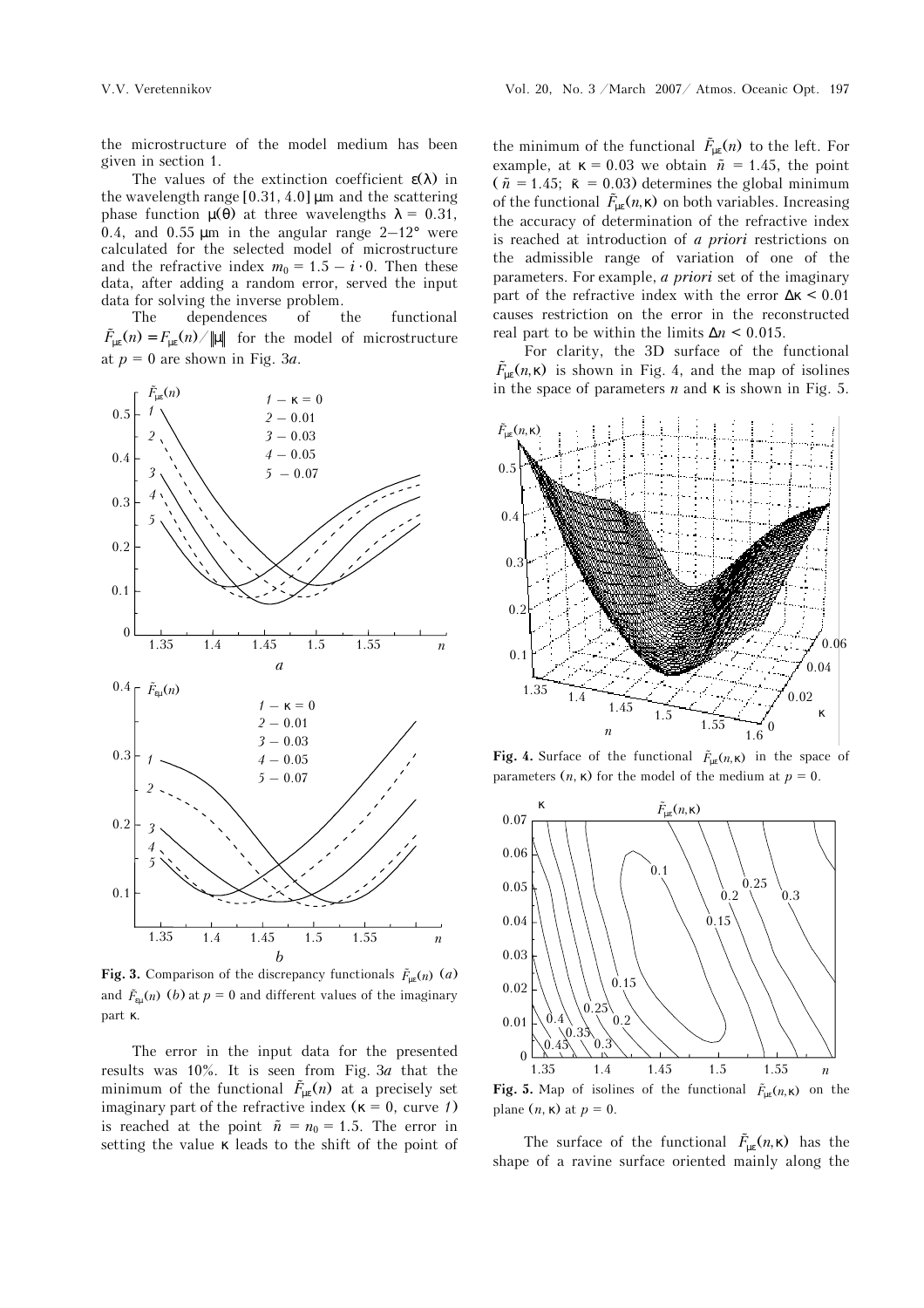the microstructure of the model medium has been given in section 1.

The values of the extinction coefficient  $\varepsilon(\lambda)$  in the wavelength range  $[0.31, 4.0]$  µm and the scattering phase function  $\mu(\theta)$  at three wavelengths  $\lambda = 0.31$ , 0.4, and 0.55  $\mu$ m in the angular range 2–12° were calculated for the selected model of microstructure and the refractive index  $m_0 = 1.5 - i \cdot 0$ . Then these data, after adding a random error, served the input data for solving the inverse problem.

The dependences of the functional  $\tilde{F}_{\text{uc}}(n) = F_{\text{uc}}(n) / ||\mu||$  for the model of microstructure at  $p = 0$  are shown in Fig. 3*a*.



**Fig. 3.** Comparison of the discrepancy functionals  $\tilde{F}_{\text{ue}}(n)$  (*a*) and  $\tilde{F}_{\text{eu}}(n)$  (*b*) at  $p = 0$  and different values of the imaginary part κ.

The error in the input data for the presented results was 10%. It is seen from Fig. 3*a* that the minimum of the functional  $\tilde{F}_{\mu \varepsilon}(n)$  at a precisely set imaginary part of the refractive index ( $\kappa = 0$ , curve *1*) is reached at the point  $\tilde{n} = n_0 = 1.5$ . The error in setting the value  $\kappa$  leads to the shift of the point of

the minimum of the functional  $\tilde{F}_{\mu \varepsilon}(n)$  to the left. For example, at  $\kappa = 0.03$  we obtain  $\tilde{n} = 1.45$ , the point  $( $\tilde{n} = 1.45$ ;  $\tilde{\kappa} = 0.03$ ) determines the global minimum$ of the functional  $\tilde{F}_{\text{ue}}(n,\kappa)$  on both variables. Increasing the accuracy of determination of the refractive index is reached at introduction of *a priori* restrictions on the admissible range of variation of one of the parameters. For example, *a priori* set of the imaginary part of the refractive index with the error  $\Delta \kappa \leq 0.01$ causes restriction on the error in the reconstructed real part to be within the limits ∆*n* < 0.015.

For clarity, the 3D surface of the functional  $\tilde{F}_{\mu\varepsilon}(n,\kappa)$  is shown in Fig. 4, and the map of isolines in the space of parameters  $n$  and  $\kappa$  is shown in Fig. 5.



**Fig. 4.** Surface of the functional  $\tilde{F}_{\text{ne}}(n,\kappa)$  in the space of parameters  $(n, \kappa)$  for the model of the medium at  $p = 0$ .



**Fig. 5.** Map of isolines of the functional  $\tilde{F}_{\mu \nu}(n,\kappa)$  on the plane  $(n, \kappa)$  at  $p = 0$ .

The surface of the functional  $\tilde{F}_{\mu \varepsilon}(n, \kappa)$  has the shape of a ravine surface oriented mainly along the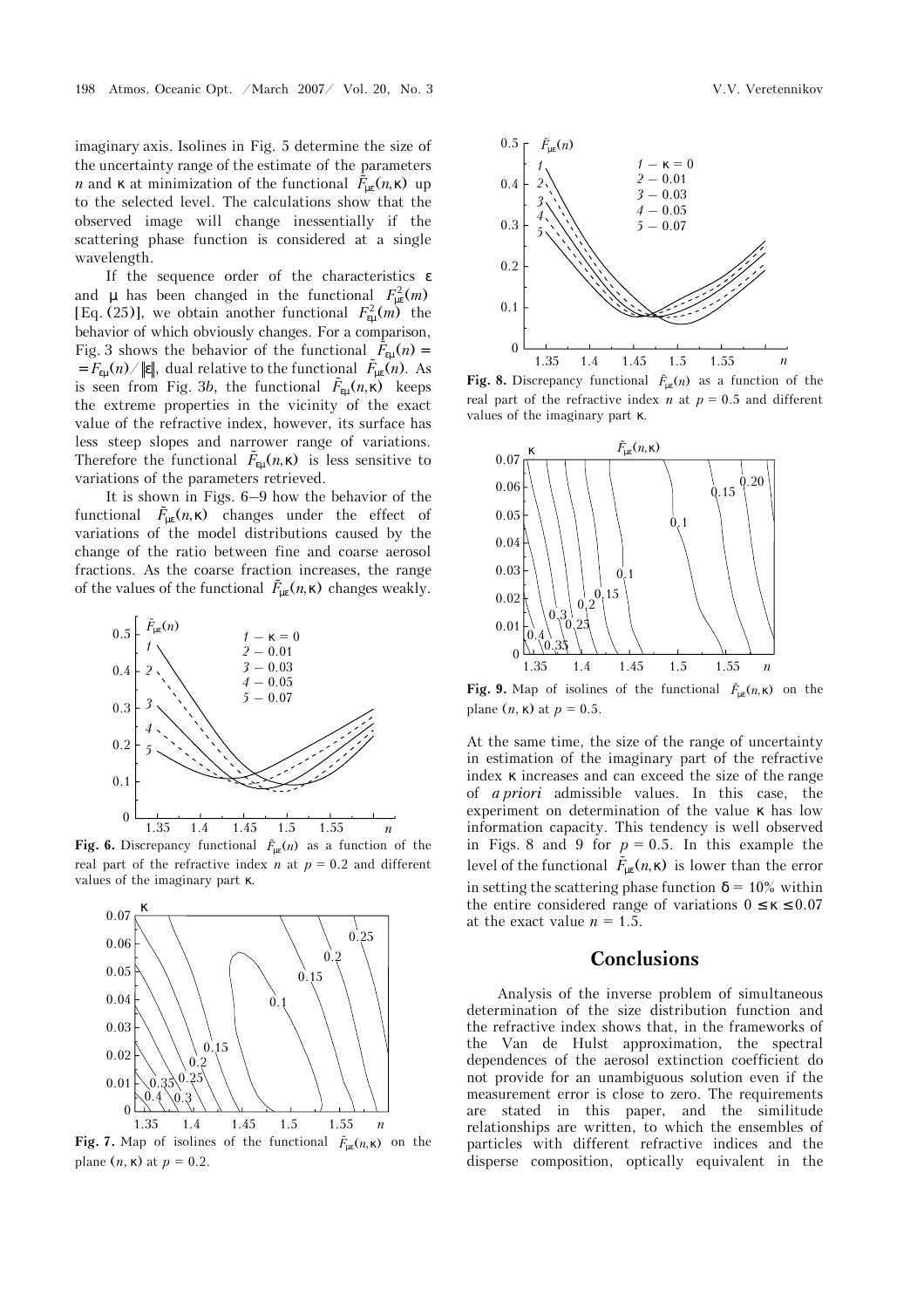imaginary axis. Isolines in Fig. 5 determine the size of the uncertainty range of the estimate of the parameters *n* and **k** at minimization of the functional  $\tilde{F}_{\text{uc}}(n, \kappa)$  up to the selected level. The calculations show that the observed image will change inessentially if the scattering phase function is considered at a single wavelength.

If the sequence order of the characteristics ε and  $\mu$  has been changed in the functional  $F_{\mu \varepsilon}^2(m)$ [Eq. (25)], we obtain another functional  $F_{\text{e}\mu}^2(m)$  the behavior of which obviously changes. For a comparison, Fig. 3 shows the behavior of the functional  $\tilde{F}_{\text{eu}}(n)$  =  $=\widetilde{F}_{\mathrm{\scriptscriptstyle{E}}\mathrm{\mu}}(n)/\Vert\mathbf{\varepsilon}\Vert,$  dual relative to the functional  $\widetilde{F}_{\mathrm{\mu\varepsilon}}(n).$  As is seen from Fig. 3*b*, the functional  $\tilde{F}_{\epsilon\mu}(n,\kappa)$  keeps the extreme properties in the vicinity of the exact value of the refractive index, however, its surface has less steep slopes and narrower range of variations. Therefore the functional  $\tilde{F}_{\rm \varepsilon \mu}(n, \kappa)$  is less sensitive to variations of the parameters retrieved.

It is shown in Figs. 6–9 how the behavior of the functional  $\tilde{F}_{\mu \varepsilon}(n, \kappa)$  changes under the effect of variations of the model distributions caused by the change of the ratio between fine and coarse aerosol fractions. As the coarse fraction increases, the range of the values of the functional  $\tilde{F}_{\mu \varepsilon}(n,\kappa)$  changes weakly.



**Fig. 6.** Discrepancy functional  $\tilde{F}_{\text{us}}(n)$  as a function of the real part of the refractive index *n* at  $p = 0.2$  and different values of the imaginary part κ.



**Fig. 7.** Map of isolines of the functional  $\tilde{F}_{ue}(n,\kappa)$  on the plane  $(n, \kappa)$  at  $p = 0.2$ .



**Fig. 8.** Discrepancy functional  $\tilde{F}_{\mu \nu}(n)$  as a function of the real part of the refractive index  $n$  at  $p = 0.5$  and different values of the imaginary part κ.



**Fig. 9.** Map of isolines of the functional  $\tilde{F}_{\mu \kappa}(n,\kappa)$  on the plane  $(n, \kappa)$  at  $p = 0.5$ .

At the same time, the size of the range of uncertainty in estimation of the imaginary part of the refractive index κ increases and can exceed the size of the range of *a priori* admissible values. In this case, the experiment on determination of the value κ has low information capacity. This tendency is well observed in Figs. 8 and 9 for  $p = 0.5$ . In this example the level of the functional  $\tilde{F}_{\mu \varepsilon}(n, \kappa)$  is lower than the error in setting the scattering phase function  $\delta = 10\%$  within the entire considered range of variations  $0 \le \kappa \le 0.07$ at the exact value  $n = 1.5$ .

## **Conclusions**

Analysis of the inverse problem of simultaneous determination of the size distribution function and the refractive index shows that, in the frameworks of the Van de Hulst approximation, the spectral dependences of the aerosol extinction coefficient do not provide for an unambiguous solution even if the measurement error is close to zero. The requirements are stated in this paper, and the similitude relationships are written, to which the ensembles of particles with different refractive indices and the disperse composition, optically equivalent in the